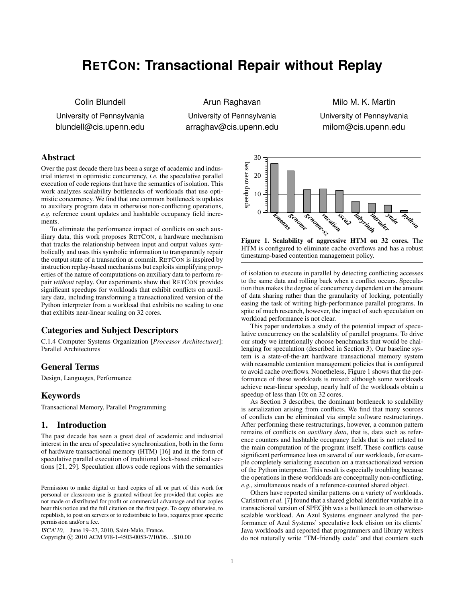# **RETCON: Transactional Repair without Replay**

Colin Blundell

University of Pennsylvania blundell@cis.upenn.edu

Arun Raghavan University of Pennsylvania arraghav@cis.upenn.edu

Milo M. K. Martin University of Pennsylvania milom@cis.upenn.edu

# Abstract

Over the past decade there has been a surge of academic and industrial interest in optimistic concurrency, *i.e.* the speculative parallel execution of code regions that have the semantics of isolation. This work analyzes scalability bottlenecks of workloads that use optimistic concurrency. We find that one common bottleneck is updates to auxiliary program data in otherwise non-conflicting operations, *e.g.* reference count updates and hashtable occupancy field increments.

To eliminate the performance impact of conflicts on such auxiliary data, this work proposes RETCON, a hardware mechanism that tracks the relationship between input and output values symbolically and uses this symbolic information to transparently repair the output state of a transaction at commit. RETCON is inspired by instruction replay-based mechanisms but exploits simplifying properties of the nature of computations on auxiliary data to perform repair *without* replay. Our experiments show that RETCON provides significant speedups for workloads that exhibit conflicts on auxiliary data, including transforming a transactionalized version of the Python interpreter from a workload that exhibits no scaling to one that exhibits near-linear scaling on 32 cores.

# Categories and Subject Descriptors

C.1.4 Computer Systems Organization [*Processor Architectures*]: Parallel Architectures

## General Terms

Design, Languages, Performance

#### Keywords

Transactional Memory, Parallel Programming

## 1. Introduction

The past decade has seen a great deal of academic and industrial interest in the area of speculative synchronization, both in the form of hardware transactional memory (HTM) [16] and in the form of speculative parallel execution of traditional lock-based critical sections [21, 29]. Speculation allows code regions with the semantics

ISCA'10, June 19–23, 2010, Saint-Malo, France.

Copyright © 2010 ACM 978-1-4503-0053-7/10/06...\$10.00



Figure 1. Scalability of aggressive HTM on 32 cores. The HTM is configured to eliminate cache overflows and has a robust timestamp-based contention management policy.

of isolation to execute in parallel by detecting conflicting accesses to the same data and rolling back when a conflict occurs. Speculation thus makes the degree of concurrency dependent on the amount of data sharing rather than the granularity of locking, potentially easing the task of writing high-performance parallel programs. In spite of much research, however, the impact of such speculation on workload performance is not clear.

This paper undertakes a study of the potential impact of speculative concurrency on the scalability of parallel programs. To drive our study we intentionally choose benchmarks that would be challenging for speculation (described in Section 3). Our baseline system is a state-of-the-art hardware transactional memory system with reasonable contention management policies that is configured to avoid cache overflows. Nonetheless, Figure 1 shows that the performance of these workloads is mixed: although some workloads achieve near-linear speedup, nearly half of the workloads obtain a speedup of less than 10x on 32 cores.

As Section 3 describes, the dominant bottleneck to scalability is serialization arising from conflicts. We find that many sources of conflicts can be eliminated via simple software restructurings. After performing these restructurings, however, a common pattern remains of conflicts on *auxiliary data*, that is, data such as reference counters and hashtable occupancy fields that is not related to the main computation of the program itself. These conflicts cause significant performance loss on several of our workloads, for example completely serializing execution on a transactionalized version of the Python interpreter. This result is especially troubling because the operations in these workloads are conceptually non-conflicting, *e.g.*, simultaneous reads of a reference-counted shared object.

Others have reported similar patterns on a variety of workloads. Carlstrom *et al.* [7] found that a shared global identifier variable in a transactional version of SPECjbb was a bottleneck to an otherwisescalable workload. An Azul Systems engineer analyzed the performance of Azul Systems' speculative lock elision on its clients' Java workloads and reported that programmers and library writers do not naturally write "TM-friendly code" and that counters such

Permission to make digital or hard copies of all or part of this work for personal or classroom use is granted without fee provided that copies are not made or distributed for profit or commercial advantage and that copies bear this notice and the full citation on the first page. To copy otherwise, to republish, to post on servers or to redistribute to lists, requires prior specific permission and/or a fee.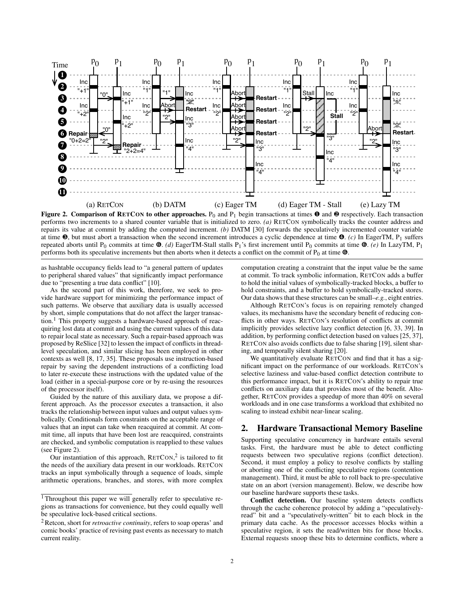

Figure 2. Comparison of RETCON to other approaches.  $P_0$  and  $P_1$  begin transactions at times  $\bullet$  and  $\bullet$  respectively. Each transaction performs two increments to a shared counter variable that is initialized to zero. *(a)* RETCON symbolically tracks the counter address and repairs its value at commit by adding the computed increment. *(b)* DATM [30] forwards the speculatively incremented counter variable at time  $\Theta$ , but must abort a transaction when the second increment introduces a cyclic dependence at time  $\Theta$ . *(c)* In EagerTM, P<sub>1</sub> suffers repeated aborts until P<sub>0</sub> commits at time  $\mathbf{O}$ . *(d)* EagerTM-Stall stalls P<sub>1</sub>'s first increment until P<sub>0</sub> commits at time  $\mathbf{O}$ . *(e)* In LazyTM, P<sub>1</sub> performs both its speculative increments but then aborts when it detects a conflict on the commit of  $P_0$  at time  $\mathbf{0}$ .

as hashtable occupancy fields lead to "a general pattern of updates to peripheral shared values" that significantly impact performance due to "presenting a true data conflict" [10].

As the second part of this work, therefore, we seek to provide hardware support for minimizing the performance impact of such patterns. We observe that auxiliary data is usually accessed by short, simple computations that do not affect the larger transac- $\chi$  tion.<sup>1</sup> This property suggests a hardware-based approach of reacquiring lost data at commit and using the current values of this data to repair local state as necessary. Such a repair-based approach was proposed by ReSlice [32] to lessen the impact of conflicts in threadlevel speculation, and similar slicing has been employed in other contexts as well [8, 17, 35]. These proposals use instruction-based repair by saving the dependent instructions of a conflicting load to later re-execute these instructions with the updated value of the load (either in a special-purpose core or by re-using the resources of the processor itself).

Guided by the nature of this auxiliary data, we propose a different approach. As the processor executes a transaction, it also tracks the relationship between input values and output values symbolically. Conditionals form constraints on the acceptable range of values that an input can take when reacquired at commit. At commit time, all inputs that have been lost are reacquired, constraints are checked, and symbolic computation is reapplied to these values (see Figure 2).

Our instantiation of this approach, RETCON,<sup>2</sup> is tailored to fit the needs of the auxiliary data present in our workloads. RETCON tracks an input symbolically through a sequence of loads, simple arithmetic operations, branches, and stores, with more complex computation creating a constraint that the input value be the same at commit. To track symbolic information, RETCON adds a buffer to hold the initial values of symbolically-tracked blocks, a buffer to hold constraints, and a buffer to hold symbolically-tracked stores. Our data shows that these structures can be small–*e.g.*, eight entries.

Although RETCON's focus is on repairing remotely changed values, its mechanisms have the secondary benefit of reducing conflicts in other ways. RETCON's resolution of conflicts at commit implicitly provides selective lazy conflict detection [6, 33, 39]. In addition, by performing conflict detection based on values [25, 37], RETCON also avoids conflicts due to false sharing [19], silent sharing, and temporally silent sharing [20].

We quantitatively evaluate RETCON and find that it has a significant impact on the performance of our workloads. RETCON's selective laziness and value-based conflict detection contribute to this performance impact, but it is RETCON's ability to repair true conflicts on auxiliary data that provides most of the benefit. Altogether, RETCON provides a speedup of more than 40% on several workloads and in one case transforms a workload that exhibited no scaling to instead exhibit near-linear scaling.

#### 2. Hardware Transactional Memory Baseline

Supporting speculative concurrency in hardware entails several tasks. First, the hardware must be able to detect conflicting requests between two speculative regions (conflict detection). Second, it must employ a policy to resolve conflicts by stalling or aborting one of the conflicting speculative regions (contention management). Third, it must be able to roll back to pre-speculative state on an abort (version management). Below, we describe how our baseline hardware supports these tasks.

Conflict detection. Our baseline system detects conflicts through the cache coherence protocol by adding a "speculativelyread" bit and a "speculatively-written" bit to each block in the primary data cache. As the processor accesses blocks within a speculative region, it sets the read/written bits for those blocks. External requests snoop these bits to determine conflicts, where a

<sup>1</sup> Throughout this paper we will generally refer to speculative regions as transactions for convenience, but they could equally well be speculative lock-based critical sections.

<sup>2</sup>Retcon, short for *retroactive continuity*, refers to soap operas' and comic books' practice of revising past events as necessary to match current reality.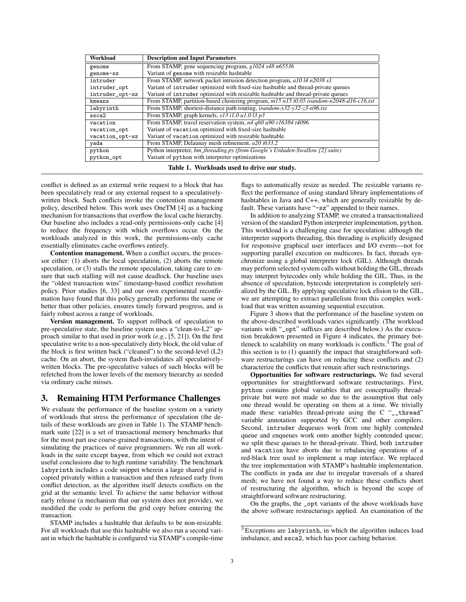| <b>Workload</b> | <b>Description and Input Parameters</b>                                                 |
|-----------------|-----------------------------------------------------------------------------------------|
| genome          | From STAMP, gene sequencing program, $g1024$ s48 n65536                                 |
| genome-sz       | Variant of genome with resizable hashtable                                              |
| intruder        | From STAMP, network packet intrusion detection program, all 014 n2038 s1                |
| intruder_opt    | Variant of intruder optimized with fixed-size hashtable and thread-private queues       |
| intruder_opt-sz | Variant of intruder optimized with resizable hashtable and thread-private queues        |
| kmeans          | From STAMP, partition-based clustering program, m15 n15 t0.05 irandom-n2048-d16-c16.txt |
| labyrinth       | From STAMP, shortest-distance path routing, <i>irandom-x32-y32-z3-n96.txt</i>           |
| ssca2           | From STAMP, graph kernels, $s13$ i1.0 u1.0 l3 p3                                        |
| vacation        | From STAMP, travel reservation system, $n4q60u90r16384t4096$                            |
| vacation_opt    | Variant of vacation optimized with fixed-size hashtable                                 |
| vacation_opt-sz | Variant of vacation optimized with resizable hashtable                                  |
| yada            | From STAMP, Delaunay mesh refinement, a20 i633.2                                        |
| python          | Python interpreter, bm_threading.py (from Google's Unladen-Swallow [2] suite)           |
| python_opt      | Variant of python with interpreter optimizations                                        |
|                 |                                                                                         |

Table 1. Workloads used to drive our study.

conflict is defined as an external write request to a block that has been speculatively read or any external request to a speculativelywritten block. Such conflicts invoke the contention management policy, described below. This work uses OneTM [4] as a backing mechanism for transactions that overflow the local cache hierarchy. Our baseline also includes a read-only permissions-only cache [4] to reduce the frequency with which overflows occur. On the workloads analyzed in this work, the permissions-only cache essentially eliminates cache overflows entirely.

Contention management. When a conflict occurs, the processor either: (1) aborts the local speculation, (2) aborts the remote speculation, or  $(3)$  stalls the remote speculation, taking care to ensure that such stalling will not cause deadlock. Our baseline uses the "oldest transaction wins" timestamp-based conflict resolution policy. Prior studies [6, 33] and our own experimental reconfirmation have found that this policy generally performs the same or better than other policies, ensures timely forward progress, and is fairly robust across a range of workloads.

Version management. To support rollback of speculation to pre-speculative state, the baseline system uses a "clean-to-L2" approach similar to that used in prior work (*e.g.*, [5, 21]). On the first speculative write to a non-speculatively dirty block, the old value of the block is first written back ("cleaned") to the second-level (L2) cache. On an abort, the system flash-invalidates all speculativelywritten blocks. The pre-speculative values of such blocks will be refetched from the lower levels of the memory hierarchy as needed via ordinary cache misses.

## 3. Remaining HTM Performance Challenges

We evaluate the performance of the baseline system on a variety of workloads that stress the performance of speculation (the details of these workloads are given in Table 1). The STAMP benchmark suite [22] is a set of transactional memory benchmarks that for the most part use coarse-grained transactions, with the intent of simulating the practices of naive programmers. We run all workloads in the suite except bayes, from which we could not extract useful conclusions due to high runtime variability. The benchmark labyrinth includes a code snippet wherein a large shared grid is copied privately within a transaction and then released early from conflict detection, as the algorithm itself detects conflicts on the grid at the semantic level. To achieve the same behavior without early release (a mechanism that our system does not provide), we modified the code to perform the grid copy before entering the transaction.

STAMP includes a hashtable that defaults to be non-resizable. For all workloads that use this hashtable we also run a second variant in which the hashtable is configured via STAMP's compile-time flags to automatically resize as needed. The resizable variants reflect the performance of using standard library implementations of hashtables in Java and C++, which are generally resizable by default. These variants have "-sz" appended to their names.

In addition to analyzing STAMP, we created a transactionalized version of the standard Python interpreter implementation, python. This workload is a challenging case for speculation: although the interpreter supports threading, this threading is explicitly designed for responsive graphical user interfaces and I/O events—not for supporting parallel execution on multicores. In fact, threads synchronize using a global interpreter lock (GIL). Although threads may perform selected system calls without holding the GIL, threads may interpret bytecodes only while holding the GIL. Thus, in the absence of speculation, bytecode interpretation is completely serialized by the GIL. By applying speculative lock elision to the GIL, we are attempting to extract parallelism from this complex workload that was written assuming sequential execution.

Figure 3 shows that the performance of the baseline system on the above-described workloads varies significantly. (The workload variants with "\_opt" suffixes are described below.) As the execution breakdown presented in Figure 4 indicates, the primary bottleneck to scalability on many workloads is conflicts.<sup>3</sup> The goal of this section is to (1) quantify the impact that straightforward software restructurings can have on reducing these conflicts and (2) characterize the conflicts that remain after such restructurings.

Opportunities for software restructurings. We find several opportunities for straightforward software restructurings. First, python contains global variables that are conceptually threadprivate but were not made so due to the assumption that only one thread would be operating on them at a time. We trivially made these variables thread-private using the C "\_\_thread" variable annotation supported by GCC and other compilers. Second, intruder dequeues work from one highly contended queue and enqueues work onto another highly contended queue; we split these queues to be thread-private. Third, both intruder and vacation have aborts due to rebalancing operations of a red-black tree used to implement a map interface. We replaced the tree implementation with STAMP's hashtable implementation. The conflicts in yada are due to irregular traversals of a shared mesh; we have not found a way to reduce these conflicts short of restructuring the algorithm, which is beyond the scope of straightforward software restructuring.

On the graphs, the \_opt variants of the above workloads have the above software restructurings applied. An examination of the

<sup>3</sup> Exceptions are labyrinth, in which the algorithm induces load imbalance, and ssca2, which has poor caching behavior.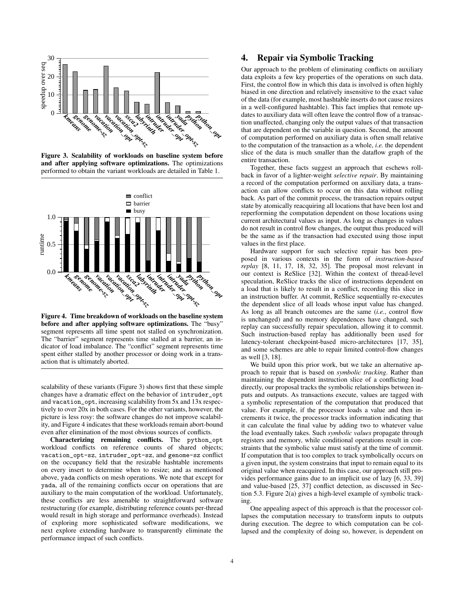

Figure 3. Scalability of workloads on baseline system before and after applying software optimizations. The optimizations performed to obtain the variant workloads are detailed in Table 1.



Figure 4. Time breakdown of workloads on the baseline system before and after applying software optimizations. The "busy" segment represents all time spent not stalled on synchronization. The "barrier" segment represents time stalled at a barrier, an indicator of load imbalance. The "conflict" segment represents time spent either stalled by another processor or doing work in a transaction that is ultimately aborted.

scalability of these variants (Figure 3) shows first that these simple changes have a dramatic effect on the behavior of intruder\_opt and vacation\_opt, increasing scalability from 5x and 13x respectively to over 20x in both cases. For the other variants, however, the picture is less rosy: the software changes do not improve scalability, and Figure 4 indicates that these workloads remain abort-bound even after elimination of the most obvious sources of conflicts.

Characterizing remaining conflicts. The python\_opt workload conflicts on reference counts of shared objects; vacation\_opt-sz, intruder\_opt-sz, and genome-sz conflict on the occupancy field that the resizable hashtable increments on every insert to determine when to resize; and as mentioned above, yada conflicts on mesh operations. We note that except for yada, all of the remaining conflicts occur on operations that are auxiliary to the main computation of the workload. Unfortunately, these conflicts are less amenable to straightforward software restructuring (for example, distributing reference counts per-thread would result in high storage and performance overheads). Instead of exploring more sophisticated software modifications, we next explore extending hardware to transparently eliminate the performance impact of such conflicts.

## 4. Repair via Symbolic Tracking

Our approach to the problem of eliminating conflicts on auxiliary data exploits a few key properties of the operations on such data. First, the control flow in which this data is involved is often highly biased in one direction and relatively insensitive to the exact value of the data (for example, most hashtable inserts do not cause resizes in a well-configured hashtable). This fact implies that remote updates to auxiliary data will often leave the control flow of a transaction unaffected, changing only the output values of that transaction that are dependent on the variable in question. Second, the amount of computation performed on auxiliary data is often small relative to the computation of the transaction as a whole, *i.e.* the dependent slice of the data is much smaller than the dataflow graph of the entire transaction.

Together, these facts suggest an approach that eschews rollback in favor of a lighter-weight *selective repair*. By maintaining a record of the computation performed on auxiliary data, a transaction can allow conflicts to occur on this data without rolling back. As part of the commit process, the transaction repairs output state by atomically reacquiring all locations that have been lost and reperforming the computation dependent on those locations using current architectural values as input. As long as changes in values do not result in control flow changes, the output thus produced will be the same as if the transaction had executed using those input values in the first place.

Hardware support for such selective repair has been proposed in various contexts in the form of *instruction-based replay* [8, 11, 17, 18, 32, 35]. The proposal most relevant in our context is ReSlice [32]. Within the context of thread-level speculation, ReSlice tracks the slice of instructions dependent on a load that is likely to result in a conflict, recording this slice in an instruction buffer. At commit, ReSlice sequentially re-executes the dependent slice of all loads whose input value has changed. As long as all branch outcomes are the same (*i.e.*, control flow is unchanged) and no memory dependences have changed, such replay can successfully repair speculation, allowing it to commit. Such instruction-based replay has additionally been used for latency-tolerant checkpoint-based micro-architectures [17, 35], and some schemes are able to repair limited control-flow changes as well [3, 18].

We build upon this prior work, but we take an alternative approach to repair that is based on *symbolic tracking*. Rather than maintaining the dependent instruction slice of a conflicting load directly, our proposal tracks the symbolic relationships between inputs and outputs. As transactions execute, values are tagged with a symbolic representation of the computation that produced that value. For example, if the processor loads a value and then increments it twice, the processor tracks information indicating that it can calculate the final value by adding two to whatever value the load eventually takes. Such *symbolic values* propagate through registers and memory, while conditional operations result in constraints that the symbolic value must satisfy at the time of commit. If computation that is too complex to track symbolically occurs on a given input, the system constrains that input to remain equal to its original value when reacquired. In this case, our approach still provides performance gains due to an implicit use of lazy [6, 33, 39] and value-based [25, 37] conflict detection, as discussed in Section 5.3. Figure 2(a) gives a high-level example of symbolic tracking.

One appealing aspect of this approach is that the processor collapses the computation necessary to transform inputs to outputs during execution. The degree to which computation can be collapsed and the complexity of doing so, however, is dependent on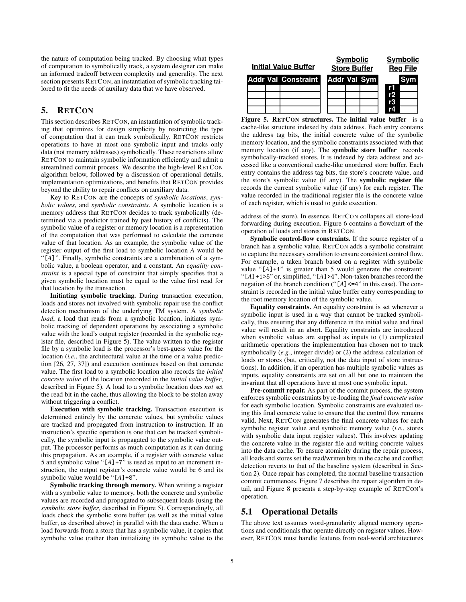the nature of computation being tracked. By choosing what types of computation to symbolically track, a system designer can make an informed tradeoff between complexity and generality. The next section presents RETCON, an instantiation of symbolic tracking tailored to fit the needs of auxilary data that we have observed.

# 5. RETCON

This section describes RETCON, an instantiation of symbolic tracking that optimizes for design simplicity by restricting the type of computation that it can track symbolically. RETCON restricts operations to have at most one symbolic input and tracks only data (not memory addresses) symbolically. These restrictions allow RETCON to maintain symbolic information efficiently and admit a streamlined commit process. We describe the high-level RETCON algorithm below, followed by a discussion of operational details, implementation optimizations, and benefits that RETCON provides beyond the ability to repair conflicts on auxiliary data.

Key to RETCON are the concepts of *symbolic locations*, *symbolic values*, and *symbolic constraints*. A symbolic location is a memory address that RETCON decides to track symbolically (determined via a predictor trained by past history of conflicts). The symbolic value of a register or memory location is a representation of the computation that was performed to calculate the concrete value of that location. As an example, the symbolic value of the register output of the first load to symbolic location *A* would be "[*A*]". Finally, symbolic constraints are a combination of a symbolic value, a boolean operator, and a constant. An *equality constraint* is a special type of constraint that simply specifies that a given symbolic location must be equal to the value first read for that location by the transaction.

Initiating symbolic tracking. During transaction execution, loads and stores not involved with symbolic repair use the conflict detection mechanism of the underlying TM system. A *symbolic load*, a load that reads from a symbolic location, initiates symbolic tracking of dependent operations by associating a symbolic value with the load's output register (recorded in the symbolic register file, described in Figure 5). The value written to the register file by a symbolic load is the processor's best-guess value for the location (*i.e.*, the architectural value at the time or a value prediction [26, 27, 37]) and execution continues based on that concrete value. The first load to a symbolic location also records the *initial concrete value* of the location (recorded in the *initial value buffer*, described in Figure 5). A load to a symbolic location does *not* set the read bit in the cache, thus allowing the block to be stolen away without triggering a conflict.

Execution with symbolic tracking. Transaction execution is determined entirely by the concrete values, but symbolic values are tracked and propagated from instruction to instruction. If an instruction's specific operation is one that can be tracked symbolically, the symbolic input is propagated to the symbolic value output. The processor performs as much computation as it can during this propagation. As an example, if a register with concrete value 5 and symbolic value "[*A*]+7" is used as input to an increment instruction, the output register's concrete value would be 6 and its symbolic value would be "[*A*]+8".

Symbolic tracking through memory. When writing a register with a symbolic value to memory, both the concrete and symbolic values are recorded and propagated to subsequent loads (using the *symbolic store buffer,* described in Figure 5). Correspondingly, all loads check the symbolic store buffer (as well as the initial value buffer, as described above) in parallel with the data cache. When a load forwards from a store that has a symbolic value, it copies that symbolic value (rather than initializing its symbolic value to the



Figure 5. RETCON structures. The initial value buffer is a cache-like structure indexed by data address. Each entry contains the address tag bits, the initial concrete value of the symbolic memory location, and the symbolic constraints associated with that memory location (if any). The symbolic store buffer records symbolically-tracked stores. It is indexed by data address and accessed like a conventional cache-like unordered store buffer. Each entry contains the address tag bits, the store's concrete value, and the store's symbolic value (if any). The symbolic register file records the current symbolic value (if any) for each register. The value recorded in the traditional register file is the concrete value of each register, which is used to guide execution.

address of the store). In essence, RETCON collapses all store-load forwarding during execution. Figure 6 contains a flowchart of the operation of loads and stores in RETCON.

Symbolic control-flow constraints. If the source register of a branch has a symbolic value, RETCON adds a symbolic constraint to capture the necessary condition to ensure consistent control flow. For example, a taken branch based on a register with symbolic value " $[A] + 1$ " is greater than 5 would generate the constraint: "[*A*]+1>5" or, simplified, "[*A*]>4". Non-taken branches record the negation of the branch condition ("[*A*]<=4" in this case). The constraint is recorded in the initial value buffer entry corresponding to the root memory location of the symbolic value.

Equality constraints. An equality constraint is set whenever a symbolic input is used in a way that cannot be tracked symbolically, thus ensuring that any difference in the initial value and final value will result in an abort. Equality constraints are introduced when symbolic values are supplied as inputs to (1) complicated arithmetic operations the implementation has chosen not to track symbolically (*e.g.*, integer divide) or (2) the address calculation of loads or stores (but, critically, not the data input of store instructions). In addition, if an operation has multiple symbolic values as inputs, equality constraints are set on all but one to maintain the invariant that all operations have at most one symbolic input.

Pre-commit repair. As part of the commit process, the system enforces symbolic constraints by re-loading the *final concrete value* for each symbolic location. Symbolic constraints are evaluated using this final concrete value to ensure that the control flow remains valid. Next, RETCON generates the final concrete values for each symbolic register value and symbolic memory value (*i.e.*, stores with symbolic data input register values). This involves updating the concrete value in the register file and writing concrete values into the data cache. To ensure atomicity during the repair process, all loads and stores set the read/written bits in the cache and conflict detection reverts to that of the baseline system (described in Section 2). Once repair has completed, the normal baseline transaction commit commences. Figure 7 describes the repair algorithm in detail, and Figure 8 presents a step-by-step example of RETCON's operation.

## 5.1 Operational Details

The above text assumes word-granularity aligned memory operations and conditionals that operate directly on register values. However, RETCON must handle features from real-world architectures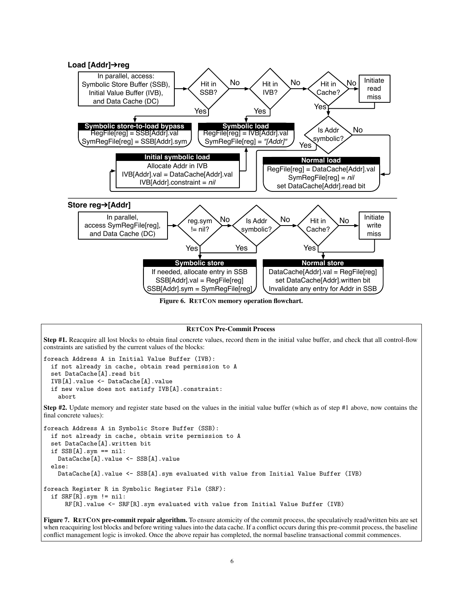

Figure 6. RETCON memory operation flowchart.

#### RETCON Pre-Commit Process

Step #1. Reacquire all lost blocks to obtain final concrete values, record them in the initial value buffer, and check that all control-flow constraints are satisfied by the current values of the blocks:

```
foreach Address A in Initial Value Buffer (IVB):
  if not already in cache, obtain read permission to A
  set DataCache[A].read bit
  IVB[A].value <- DataCache[A].value
  if new value does not satisfy IVB[A].constraint:
    abort
Step #2. Update memory and register state based on the values in the initial value buffer (which as of step #1 above, now contains the
final concrete values):
foreach Address A in Symbolic Store Buffer (SSB):
  if not already in cache, obtain write permission to A
  set DataCache[A].written bit
  if SSB[A].sym == nil:DataCache[A].value <- SSB[A].value
  else:
    DataCache[A].value <- SSB[A].sym evaluated with value from Initial Value Buffer (IVB)
foreach Register R in Symbolic Register File (SRF):
  if SRF[R].sym != nil:
      RF[R].value <- SRF[R].sym evaluated with value from Initial Value Buffer (IVB)
```
Figure 7. RETCON pre-commit repair algorithm. To ensure atomicity of the commit process, the speculatively read/written bits are set when reacquiring lost blocks and before writing values into the data cache. If a conflict occurs during this pre-commit process, the baseline conflict management logic is invoked. Once the above repair has completed, the normal baseline transactional commit commences.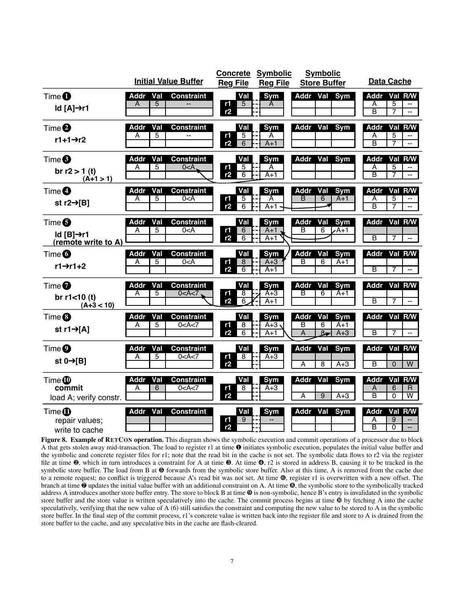|                                                                    | <b>Initial Value Buffer</b>                                                                                                                                                                                                                                                                                                  | <b>Reg File</b>                        | Concrete Symbolic<br><b>Reg File</b> | <b>Symbolic</b><br><b>Store Buffer</b>                                                                   | <b>Data Cache</b>                                                                                                               |
|--------------------------------------------------------------------|------------------------------------------------------------------------------------------------------------------------------------------------------------------------------------------------------------------------------------------------------------------------------------------------------------------------------|----------------------------------------|--------------------------------------|----------------------------------------------------------------------------------------------------------|---------------------------------------------------------------------------------------------------------------------------------|
| Time ①<br>ld [A]→r1                                                | Addr<br>Val<br><b>Constraint</b><br>5<br>A                                                                                                                                                                                                                                                                                   | Val<br>r1<br>5<br>r2                   | Sym<br>A                             | Val Sym<br><b>Addr</b>                                                                                   | Val R/W<br>Addr<br>$\overline{5}$<br>Α<br>$\overline{\mathsf{B}}$<br>7<br>$\overline{\phantom{a}}$                              |
| Time <sup>2</sup><br>$r1+1 \rightarrow r2$                         | <b>Addr</b><br>Val<br><b>Constraint</b><br>5<br>А<br>$\overline{a}$                                                                                                                                                                                                                                                          | Val<br>5<br>r1<br>r2<br>$\overline{6}$ | <b>Sym</b><br>А<br>$A+1$             | <b>Addr</b><br>Val<br>Sym                                                                                | <b>Addr</b><br>Val R/W<br>5<br>Α<br>$-$<br>$\overline{\mathsf{B}}$<br>7<br>$\overline{\phantom{a}}$                             |
| Time <sup>6</sup><br>br $r2 > 1$ (t)<br>$(A+1 > 1)$                | Addr<br>Val<br><b>Constraint</b><br>5<br>A<br>0 <a< td=""><td>Val<br/>5<br/>r1<br/>r2<br/>6</td><td>Sym<br/>А<br/><math>A+1</math></td><td>Val Sym<br/>Addr</td><td><b>Addr</b><br/>Val R/W<br/>5<br/>Α<br/><math>-</math><br/><math>\overline{\mathsf{B}}</math><br/>7<br/>Ξ.</td></a<>                                     | Val<br>5<br>r1<br>r2<br>6              | Sym<br>А<br>$A+1$                    | Val Sym<br>Addr                                                                                          | <b>Addr</b><br>Val R/W<br>5<br>Α<br>$-$<br>$\overline{\mathsf{B}}$<br>7<br>Ξ.                                                   |
| Time <sub>①</sub><br>st $r2 \rightarrow [B]$                       | <b>Addr</b><br>Val<br><b>Constraint</b><br>5<br>0 <a<br>A</a<br>                                                                                                                                                                                                                                                             | Val<br>5<br>r1<br>r2<br>6              | Sym<br>А<br>$A+1$                    | <b>Addr</b><br>Val<br>Sym<br>B<br>6<br>$A+1$                                                             | Addr<br>Val R/W<br>5<br>Α<br>$\sim$ $\sim$<br>B<br>7<br>Ξ.                                                                      |
| Time <sup>6</sup><br>Id $[B]\rightarrow r1$<br>(remote write to A) | <b>Addr</b><br>Val<br><b>Constraint</b><br>5<br>A<br>0 <a< td=""><td>Val<br/>6<br/>r1<br/>r2<br/>6</td><td><b>Sym</b><br/><math>A+1</math><br/>A+1</td><td><b>Sym</b><br/><b>Addr</b><br/>Val<br/>B<br/>6<br/>A+1ء</td><td><b>Addr</b><br/>Val R/W<br/><math>\overline{\mathsf{B}}</math><br/>7<br/><math>-</math></td></a<> | Val<br>6<br>r1<br>r2<br>6              | <b>Sym</b><br>$A+1$<br>A+1           | <b>Sym</b><br><b>Addr</b><br>Val<br>B<br>6<br>A+1ء                                                       | <b>Addr</b><br>Val R/W<br>$\overline{\mathsf{B}}$<br>7<br>$-$                                                                   |
| Time <sup>6</sup><br>$r1 \rightarrow r1+2$                         | <b>Addr</b><br>Val<br><b>Constraint</b><br>5<br>$0<$ A<br>A                                                                                                                                                                                                                                                                  | Val<br>8<br>r1<br>r2<br>6              | Sym<br>$A + 3$<br>A+1                | <b>Addr</b><br>Val<br>Sym<br>B<br>6<br>$A+1$                                                             | Val R/W<br><b>Addr</b><br>в<br>7<br>$\overline{\phantom{a}}$                                                                    |
| Time $\boldsymbol{\Omega}$<br>br $r1 < 10$ (t)<br>$(A+3 < 10)$     | <b>Addr</b><br>Val<br><b>Constraint</b><br>5<br>0 < A < 7<br>A                                                                                                                                                                                                                                                               | Val<br>8<br>r1<br>r2<br>6              | <b>Sym</b><br>$A + 3$<br>$A+1$       | <b>Addr</b><br>Val<br>Sym<br>$\overline{\mathsf{B}}$<br>6<br>$A+1$                                       | <b>Addr</b><br>Val R/W<br>B<br>7<br>$\overline{\phantom{a}}$                                                                    |
| Time <sup>®</sup><br>st $r1 \rightarrow [A]$                       | <b>Addr</b><br>Val<br><b>Constraint</b><br>5<br>0 < A < 7<br>А                                                                                                                                                                                                                                                               | Val<br>r1<br>8<br>r2<br>6              | Sym<br>$A + 3$<br>$A+1$              | Val<br><b>Addr</b><br>Sym<br>B<br>$\overline{6}$<br>$A+1$<br>$\overline{A}$<br>$\overline{8}$<br>$A + 3$ | Val R/W<br>Addr<br>B<br>7<br>$\mathbf{u}$                                                                                       |
| Time <sub>①</sub><br>st $0 \rightarrow [B]$                        | <b>Addr</b><br>Val<br><b>Constraint</b><br>5<br>Α<br>0 < A < 7                                                                                                                                                                                                                                                               | Val<br>8<br>r1<br>r2                   | Sym<br>A+3                           | Addr<br>Val<br>Sym<br>$\overline{\bf 8}$<br>$\overline{A}$<br>$A + 3$                                    | <b>Addr</b><br>Val R/W<br>W<br>$\overline{\mathsf{B}}$<br>$\overline{0}$                                                        |
| Time <b>1</b><br>commit<br>load A; verify constr.                  | Addr<br>Val<br>Constraint<br>6<br>$0<$ A $<$ 7<br>A                                                                                                                                                                                                                                                                          | Val<br>8<br>r1<br>r2                   | <b>Sym</b><br>$A + 3$                | Addr<br>Val<br>Sym<br>$A+3$<br>A<br>9                                                                    | <b>Addr</b><br>Val R/W<br>6<br>$\overline{\mathsf{R}}$<br>A<br>B<br>w<br>$\Omega$                                               |
| Time $\bf{1}$<br>repair values;<br>write to cache                  | <b>Addr</b><br>Val<br><b>Constraint</b>                                                                                                                                                                                                                                                                                      | Val<br>9<br>r1<br>r2                   | <b>Sym</b>                           | <b>Addr</b><br>Val<br>Sym                                                                                | <b>Addr</b><br>Val R/W<br>9<br>Α<br>$\overline{\phantom{a}}$<br>$\overline{\mathsf{B}}$<br>$\Omega$<br>$\overline{\phantom{a}}$ |

Figure 8. Example of RETCON operation. This diagram shows the symbolic execution and commit operations of a processor due to block A that gets stolen away mid-transaction. The load to register r1 at time ❶ initiates symbolic execution, populates the initial value buffer and the symbolic and concrete register files for r1; note that the read bit in the cache is not set. The symbolic data flows to r2 via the register file at time  $\Theta$ , which in turn introduces a constraint for A at time  $\Theta$ . At time  $\Theta$ , r2 is stored in address B, causing it to be tracked in the symbolic store buffer. The load from B at  $\Theta$  forwards from the symbolic store buffer. Also at this time, A is removed from the cache due to a remote request; no conflict is triggered because A's read bit was not set. At time  $\Theta$ , register r1 is overwritten with a new offset. The branch at time  $\ddot{\bm{o}}$  updates the initial value buffer with an additional constraint on A. At time  $\ddot{\bm{o}}$ , the symbolic store to the symbolically tracked address A introduces another store buffer entry. The store to block B at time ❾ is non-symbolic, hence B's entry is invalidated in the symbolic store buffer and the store value is written speculatively into the cache. The commit process begins at time  $\Phi$  by fetching A into the cache speculatively, verifying that the new value of A (6) still satisfies the constraint and computing the new value to be stored to A in the symbolic store buffer. In the final step of the commit process, r1's concrete value is written back into the register file and store to A is drained from the store buffer to the cache, and any speculative bits in the cache are flash-cleared.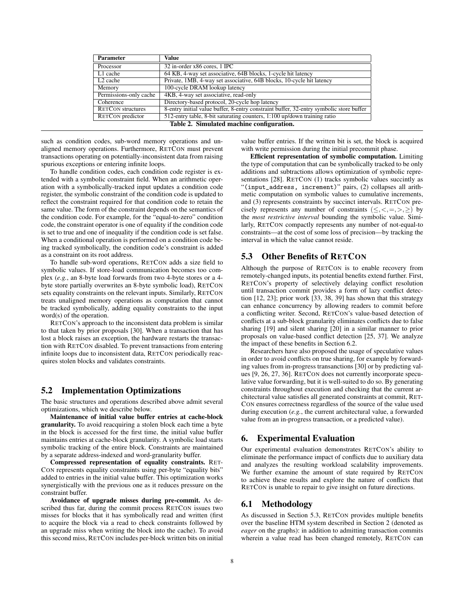| <b>Parameter</b>                          | Value                                                                                   |  |  |  |
|-------------------------------------------|-----------------------------------------------------------------------------------------|--|--|--|
| Processor                                 | 32 in-order x86 cores, 1 IPC                                                            |  |  |  |
| L1 cache                                  | 64 KB, 4-way set associative, 64B blocks, 1-cycle hit latency                           |  |  |  |
| L <sub>2</sub> cache                      | Private, 1MB, 4-way set associative, 64B blocks, 10-cycle hit latency                   |  |  |  |
| Memory                                    | 100-cycle DRAM lookup latency                                                           |  |  |  |
| Permissions-only cache                    | 4KB, 4-way set associative, read-only                                                   |  |  |  |
| Coherence                                 | Directory-based protocol, 20-cycle hop latency                                          |  |  |  |
| <b>RETCON</b> structures                  | 8-entry initial value buffer, 8-entry constraint buffer, 32-entry symbolic store buffer |  |  |  |
| <b>RETCON</b> predictor                   | 512-entry table, 8-bit saturating counters, 1:100 up/down training ratio                |  |  |  |
| Table 2. Simulated machine configuration. |                                                                                         |  |  |  |

such as condition codes, sub-word memory operations and unaligned memory operations. Furthermore, RETCON must prevent transactions operating on potentially-inconsistent data from raising spurious exceptions or entering infinite loops.

To handle condition codes, each condition code register is extended with a symbolic constraint field. When an arithmetic operation with a symbolically-tracked input updates a condition code register, the symbolic constraint of the condition code is updated to reflect the constraint required for that condition code to retain the same value. The form of the constraint depends on the semantics of the condition code. For example, for the "equal-to-zero" condition code, the constraint operator is one of equality if the condition code is set to true and one of inequality if the condition code is set false. When a conditional operation is performed on a condition code being tracked symbolically, the condition code's constraint is added as a constraint on its root address.

To handle sub-word operations, RETCON adds a size field to symbolic values. If store-load communication becomes too complex (*e.g.*, an 8-byte load forwards from two 4-byte stores or a 4 byte store partially overwrites an 8-byte symbolic load), RETCON sets equality constraints on the relevant inputs. Similarly, RETCON treats unaligned memory operations as computation that cannot be tracked symbolically, adding equality constraints to the input word(s) of the operation.

RETCON's approach to the inconsistent data problem is similar to that taken by prior proposals [30]. When a transaction that has lost a block raises an exception, the hardware restarts the transaction with RETCON disabled. To prevent transactions from entering infinite loops due to inconsistent data, RETCON periodically reacquires stolen blocks and validates constraints.

#### 5.2 Implementation Optimizations

The basic structures and operations described above admit several optimizations, which we describe below.

Maintenance of initial value buffer entries at cache-block granularity. To avoid reacquiring a stolen block each time a byte in the block is accessed for the first time, the initial value buffer maintains entries at cache-block granularity. A symbolic load starts symbolic tracking of the entire block. Constraints are maintained by a separate address-indexed and word-granularity buffer.

Compressed representation of equality constraints. RET-CON represents equality constraints using per-byte "equality bits" added to entries in the initial value buffer. This optimization works synergistically with the previous one as it reduces pressure on the constraint buffer.

Avoidance of upgrade misses during pre-commit. As described thus far, during the commit process RETCON issues two misses for blocks that it has symbolically read and written (first to acquire the block via a read to check constraints followed by an upgrade miss when writing the block into the cache). To avoid this second miss, RETCON includes per-block written bits on initial value buffer entries. If the written bit is set, the block is acquired with write permission during the initial precommit phase.

Efficient representation of symbolic computation. Limiting the type of computation that can be symbolically tracked to be only additions and subtractions allows optimization of symbolic representations [28]. RETCON (1) tracks symbolic values succintly as "(input\_address, increment)" pairs, (2) collapses all arithmetic computation on symbolic values to cumulative increments, and (3) represents constraints by succinct intervals. RETCON precisely represents any number of constraints  $(\leq, <, =, >, \geq)$  by the *most restrictive interval* bounding the symbolic value. Similarly, RETCON compactly represents any number of not-equal-to constraints—at the cost of some loss of precision—by tracking the interval in which the value cannot reside.

## 5.3 Other Benefits of RETCON

Although the purpose of RETCON is to enable recovery from remotely-changed inputs, its potential benefits extend further. First, RETCON's property of selectively delaying conflict resolution until transaction commit provides a form of lazy conflict detection [12, 23]; prior work [33, 38, 39] has shown that this strategy can enhance concurrency by allowing readers to commit before a conflicting writer. Second, RETCON's value-based detection of conflicts at a sub-block granularity eliminates conflicts due to false sharing [19] and silent sharing [20] in a similar manner to prior proposals on value-based conflict detection [25, 37]. We analyze the impact of these benefits in Section 6.2.

Researchers have also proposed the usage of speculative values in order to avoid conflicts on true sharing, for example by forwarding values from in-progress transanctions [30] or by predicting values [9, 26, 27, 36]. RETCON does not currently incorporate speculative value forwarding, but it is well-suited to do so. By generating constraints throughout execution and checking that the current architectural value satisfies all generated constraints at commit, RET-CON ensures correctness regardless of the source of the value used during execution (*e.g.*, the current architectural value, a forwarded value from an in-progress transaction, or a predicted value).

## 6. Experimental Evaluation

Our experimental evaluation demonstrates RETCON's ability to eliminate the performance impact of conflicts due to auxiliary data and analyzes the resulting workload scalability improvements. We further examine the amount of state required by RETCON to achieve these results and explore the nature of conflicts that RETCON is unable to repair to give insight on future directions.

#### 6.1 Methodology

As discussed in Section 5.3, RETCON provides multiple benefits over the baseline HTM system described in Section 2 (denoted as *eager* on the graphs): in addition to admitting transaction commits wherein a value read has been changed remotely, RETCON can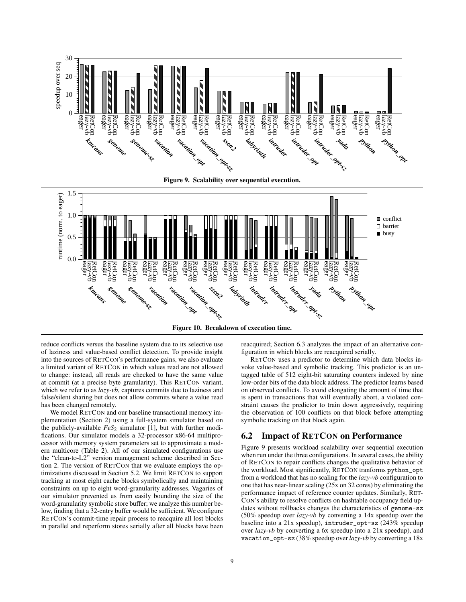

Figure 10. Breakdown of execution time.

reduce conflicts versus the baseline system due to its selective use of laziness and value-based conflict detection. To provide insight into the sources of RETCON's performance gains, we also evaluate a limited variant of RETCON in which values read are not allowed to change: instead, all reads are checked to have the same value at commit (at a precise byte granularity). This RETCON variant, which we refer to as  $lazy-vb$ , captures commits due to laziness and false/silent sharing but does not allow commits where a value read has been changed remotely.

We model RETCON and our baseline transactional memory implementation (Section 2) using a full-system simulator based on the publicly-available  $FeS<sub>2</sub>$  simulator [1], but with further modifications. Our simulator models a 32-processor x86-64 multiprocessor with memory system parameters set to approximate a modern multicore (Table 2). All of our simulated configurations use the "clean-to-L2" version management scheme described in Section 2. The version of RETCON that we evaluate employs the optimizations discussed in Section 5.2. We limit RETCON to support tracking at most eight cache blocks symbolically and maintaining constraints on up to eight word-granularity addresses. Vagaries of our simulator prevented us from easily bounding the size of the word-granularity symbolic store buffer; we analyze this number below, finding that a 32-entry buffer would be sufficient. We configure RETCON's commit-time repair process to reacquire all lost blocks in parallel and reperform stores serially after all blocks have been

reacquired; Section 6.3 analyzes the impact of an alternative configuration in which blocks are reacquired serially.

RETCON uses a predictor to determine which data blocks invoke value-based and symbolic tracking. This predictor is an untagged table of 512 eight-bit saturating counters indexed by nine low-order bits of the data block address. The predictor learns based on observed conflicts. To avoid elongating the amount of time that is spent in transactions that will eventually abort, a violated constraint causes the predictor to train down aggressively, requiring the observation of 100 conflicts on that block before attempting symbolic tracking on that block again.

## 6.2 Impact of RETCON on Performance

Figure 9 presents workload scalability over sequential execution when run under the three configurations. In several cases, the ability of RETCON to repair conflicts changes the qualitative behavior of the workload. Most significantly, RETCON tranforms python\_opt from a workload that has no scaling for the *lazy-vb* configuration to one that has near-linear scaling (25x on 32 cores) by eliminating the performance impact of reference counter updates. Similarly, RET-CON's ability to resolve conflicts on hashtable occupancy field updates without rollbacks changes the characteristics of genome-sz (50% speedup over *lazy-vb* by converting a 14x speedup over the baseline into a 21x speedup), intruder\_opt-sz (243% speedup over *lazy-vb* by converting a 6x speedup into a 21x speedup), and vacation\_opt-sz (38% speedup over *lazy-vb* by converting a 18x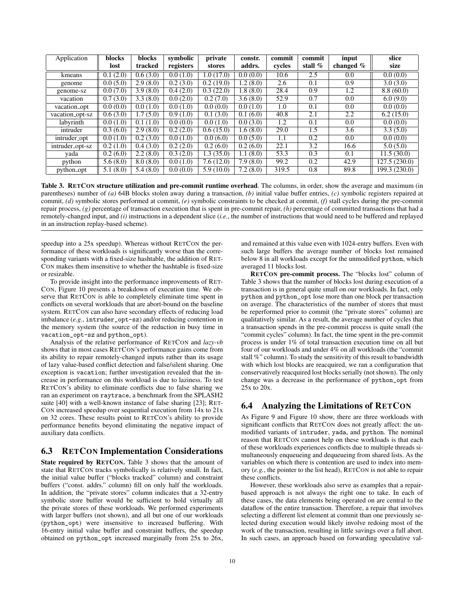| Application     | blocks   | blocks   | symbolic  | private   | constr.  | commit | commit    | input       | slice         |
|-----------------|----------|----------|-----------|-----------|----------|--------|-----------|-------------|---------------|
|                 | lost     | tracked  | registers | stores    | addrs.   | cycles | stall $%$ | changed $%$ | size          |
| kmeans          | 0.1(2.0) | 0.6(3.0) | 0.0(1.0)  | 1.0(17.0) | 0.0(0.0) | 10.6   | 2.5       | 0.0         | 0.0(0.0)      |
| genome          | 0.0(5.0) | 2.9(8.0) | 0.2(3.0)  | 0.2(19.0) | 1.2(8.0) | 2.6    | 0.1       | 0.9         | 3.0(3.0)      |
| genome-sz       | 0.0(7.0) | 3.9(8.0) | 0.4(2.0)  | 0.3(22.0) | 1.8(8.0) | 28.4   | 0.9       | 1.2         | 8.8(60.0)     |
| vacation        | 0.7(3.0) | 3.3(8.0) | 0.0(2.0)  | 0.2(7.0)  | 3.6(8.0) | 52.9   | 0.7       | 0.0         | 6.0(9.0)      |
| vacation_opt    | 0.0(0.0) | 0.0(1.0) | 0.0(1.0)  | 0.0(0.0)  | 0.0(1.0) | 1.0    | 0.1       | 0.0         | 0.0(0.0)      |
| vacation_opt-sz | 0.6(3.0) | 1.7(5.0) | 0.9(1.0)  | 0.1(3.0)  | 0.1(6.0) | 40.8   | 2.1       | 2.2         | 6.2(15.0)     |
| labyrinth       | 0.0(1.0) | 0.1(1.0) | 0.0(0.0)  | 0.0(1.0)  | 0.0(3.0) | 1.2    | 0.1       | 0.0         | 0.0(0.0)      |
| intruder        | 0.3(6.0) | 2.9(8.0) | 0.2(2.0)  | 0.6(15.0) | 1.6(8.0) | 29.0   | 1.5       | 3.6         | 3.3(5.0)      |
| intruder_opt    | 0.0(1.0) | 0.2(3.0) | 0.0(1.0)  | 0.0(6.0)  | 0.0(5.0) | 1.1    | 0.2       | 0.0         | 0.0(0.0)      |
| intruder_opt-sz | 0.2(1.0) | 0.4(3.0) | 0.2(2.0)  | 0.2(6.0)  | 0.2(6.0) | 22.1   | 3.2       | 16.6        | 5.0(5.0)      |
| yada            | 0.2(6.0) | 2.2(8.0) | 0.3(2.0)  | 1.3(35.0) | 1.1(8.0) | 53.3   | 0.3       | 0.1         | 11.5(30.0)    |
| python          | 5.6(8.0) | 8.0(8.0) | 0.0(1.0)  | 7.6(12.0) | 7.9(8.0) | 99.2   | 0.2       | 42.9        | 127.5 (230.0) |
| python_opt      | 5.1(8.0) | 5.4(8.0) | 0.0(0.0)  | 5.9(10.0) | 7.2(8.0) | 319.5  | 0.8       | 89.8        | 199.3 (230.0) |

Table 3. RETCON structure utilization and pre-commit runtime overhead. The columns, in order, show the average and maximum (in parentheses) number of *(a)* 64B blocks stolen away during a transaction, *(b)* initial value buffer entries, *(c)* symbolic registers repaired at commit, *(d)* symbolic stores performed at commit, *(e)* symbolic constraints to be checked at commit, *(f)* stall cycles during the pre-commit repair process, *(g)* percentage of transaction execution that is spent in pre-commit repair, *(h)* percentage of committed transactions that had a remotely-changed input, and *(i)* instructions in a dependent slice (*i.e.*, the number of instructions that would need to be buffered and replayed in an instruction replay-based scheme).

speedup into a 25x speedup). Whereas without RETCON the performance of these workloads is significantly worse than the corresponding variants with a fixed-size hashtable, the addition of RET-CON makes them insensitive to whether the hashtable is fixed-size or resizable.

To provide insight into the performance improvements of RET-CON, Figure 10 presents a breakdown of execution time. We observe that RETCON is able to completely eliminate time spent in conflicts on several workloads that are abort-bound on the baseline system. RETCON can also have secondary effects of reducing load imbalance (*e.g.*, intruder\_opt-sz) and/or reducing contention in the memory system (the source of the reduction in busy time in vacation\_opt-sz and python\_opt).

Analysis of the relative performance of RETCON and *lazy-vb* shows that in most cases RETCON's performance gains come from its ability to repair remotely-changed inputs rather than its usage of lazy value-based conflict detection and false/silent sharing. One exception is vacation; further investigation revealed that the increase in performance on this workload is due to laziness. To test RETCON's ability to eliminate conflicts due to false sharing we ran an experiment on raytrace, a benchmark from the SPLASH2 suite [40] with a well-known instance of false sharing [23]; RET-CON increased speedup over sequential execution from 14x to 21x on 32 cores. These results point to RETCON's ability to provide performance benefits beyond eliminating the negative impact of auxiliary data conflicts.

## 6.3 RETCON Implementation Considerations

State required by RETCON. Table 3 shows that the amount of state that RETCON tracks symbolically is relatively small. In fact, the initial value buffer ("blocks tracked" column) and constraint buffers ("const. addrs." column) fill on only half the workloads. In addition, the "private stores" column indicates that a 32-entry symbolic store buffer would be sufficient to hold virtually all the private stores of these workloads. We performed experiments with larger buffers (not shown), and all but one of our workloads (python\_opt) were insensitive to increased buffering. With 16-entry initial value buffer and constraint buffers, the speedup obtained on python\_opt increased marginally from 25x to 26x,

and remained at this value even with 1024-entry buffers. Even with such large buffers the average number of blocks lost remained below 8 in all workloads except for the unmodified python, which averaged 11 blocks lost.

RETCON pre-commit process. The "blocks lost" column of Table 3 shows that the number of blocks lost during execution of a transaction is in general quite small on our workloads. In fact, only python and python\_opt lose more than one block per transaction on average. The characteristics of the number of stores that must be reperformed prior to commit (the "private stores" column) are qualitatively similar. As a result, the average number of cycles that a transaction spends in the pre-commit process is quite small (the "commit cycles" column). In fact, the time spent in the pre-commit process is under 1% of total transaction execution time on all but four of our workloads and under 4% on all workloads (the "commit stall %" column). To study the sensitivity of this result to bandwidth with which lost blocks are reacquired, we ran a configuration that conservatively reacquired lost blocks serially (not shown). The only change was a decrease in the performance of python\_opt from 25x to 20x.

## 6.4 Analyzing the Limitations of RETCON

As Figure 9 and Figure 10 show, there are three workloads with significant conflicts that RETCON does not greatly affect: the unmodified variants of intruder, yada, and python. The nominal reason that RETCON cannot help on these workloads is that each of these workloads experiences conflicts due to multiple threads simultaneously enqueueing and dequeueing from shared lists. As the variables on which there is contention are used to index into memory (*e.g.*, the pointer to the list head), RETCON is not able to repair these conflicts.

However, these workloads also serve as examples that a repairbased approach is not always the right one to take. In each of these cases, the data elements being operated on are central to the dataflow of the entire transaction. Therefore, a repair that involves selecting a different list element at commit than one previously selected during execution would likely involve redoing most of the work of the transaction, resulting in little savings over a full abort. In such cases, an approach based on forwarding speculative val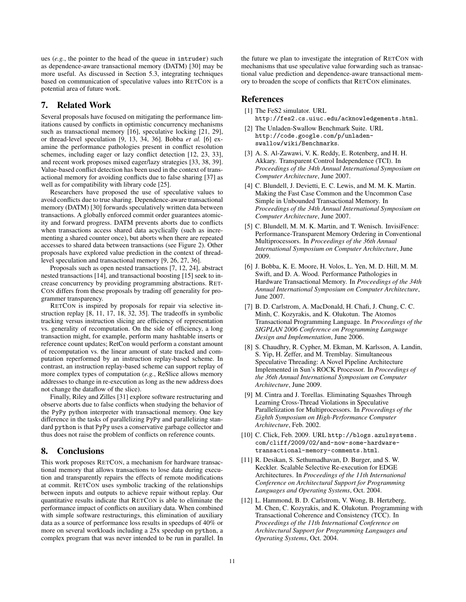ues (*e.g.*, the pointer to the head of the queue in intruder) such as dependence-aware transactional memory (DATM) [30] may be more useful. As discussed in Section 5.3, integrating techniques based on communication of speculative values into RETCON is a potential area of future work.

## 7. Related Work

Several proposals have focused on mitigating the performance limitations caused by conflicts in optimistic concurrency mechanisms such as transactional memory [16], speculative locking [21, 29], or thread-level speculation [9, 13, 34, 36]. Bobba *et al.* [6] examine the performance pathologies present in conflict resolution schemes, including eager or lazy conflict detection [12, 23, 33], and recent work proposes mixed eager/lazy strategies [33, 38, 39]. Value-based conflict detection has been used in the context of transactional memory for avoiding conflicts due to false sharing [37] as well as for compatibility with library code [25].

Researchers have proposed the use of speculative values to avoid conflicts due to true sharing. Dependence-aware transactional memory (DATM) [30] forwards speculatively written data between transactions. A globally enforced commit order guarantees atomicity and forward progress. DATM prevents aborts due to conflicts when transactions access shared data acyclically (such as incrementing a shared counter once), but aborts when there are repeated accesses to shared data between transactions (see Figure 2). Other proposals have explored value prediction in the context of threadlevel speculation and transactional memory [9, 26, 27, 36].

Proposals such as open nested transactions [7, 12, 24], abstract nested transactions [14], and transactional boosting [15] seek to increase concurrency by providing programming abstractions. RET-CON differs from these proposals by trading off generality for programmer transparency.

RETCON is inspired by proposals for repair via selective instruction replay [8, 11, 17, 18, 32, 35]. The tradeoffs in symbolic tracking versus instruction slicing are efficiency of representation vs. generality of recomputation. On the side of efficiency, a long transaction might, for example, perform many hashtable inserts or reference count updates; RetCon would perform a constant amount of recomputation vs. the linear amount of state tracked and computation reperformed by an instruction replay-based scheme. In contrast, an instruction replay-based scheme can support replay of more complex types of computation (*e.g.*, ReSlice allows memory addresses to change in re-execution as long as the new address does not change the dataflow of the slice).

Finally, Riley and Zilles [31] explore software restructuring and observe aborts due to false conflicts when studying the behavior of the PyPy python interpreter with transactional memory. One key difference in the tasks of parallelizing PyPy and parallelizing standard python is that PyPy uses a conservative garbage collector and thus does not raise the problem of conflicts on reference counts.

## 8. Conclusions

This work proposes RETCON, a mechanism for hardware transactional memory that allows transactions to lose data during execution and transparently repairs the effects of remote modifications at commit. RETCON uses symbolic tracking of the relationships between inputs and outputs to achieve repair without replay. Our quantitative results indicate that RETCON is able to eliminate the performance impact of conflicts on auxiliary data. When combined with simple software restructurings, this elimination of auxiliary data as a source of performance loss results in speedups of 40% or more on several workloads including a 25x speedup on python, a complex program that was never intended to be run in parallel. In the future we plan to investigate the integration of RETCON with mechanisms that use speculative value forwarding such as transactional value prediction and dependence-aware transactional memory to broaden the scope of conflicts that RETCON eliminates.

#### References

- [1] The FeS2 simulator. URL http://fes2.cs.uiuc.edu/acknowledgements.html.
- [2] The Unladen-Swallow Benchmark Suite. URL http://code.google.com/p/unladenswallow/wiki/Benchmarks.
- [3] A. S. Al-Zawawi, V. K. Reddy, E. Rotenberg, and H. H. Akkary. Transparent Control Independence (TCI). In *Proceedings of the 34th Annual International Symposium on Computer Architecture*, June 2007.
- [4] C. Blundell, J. Devietti, E. C. Lewis, and M. M. K. Martin. Making the Fast Case Common and the Uncommon Case Simple in Unbounded Transactional Memory. In *Proceedings of the 34th Annual International Symposium on Computer Architecture*, June 2007.
- [5] C. Blundell, M. M. K. Martin, and T. Wenisch. InvisiFence: Performance-Transparent Memory Ordering in Conventional Multiprocessors. In *Proceedings of the 36th Annual International Symposium on Computer Architecture*, June 2009.
- [6] J. Bobba, K. E. Moore, H. Volos, L. Yen, M. D. Hill, M. M. Swift, and D. A. Wood. Performance Pathologies in Hardware Transactional Memory. In *Proceedings of the 34th Annual International Symposium on Computer Architecture*, June 2007.
- [7] B. D. Carlstrom, A. MacDonald, H. Chafi, J. Chung, C. C. Minh, C. Kozyrakis, and K. Olukotun. The Atomos Transactional Programming Language. In *Proceedings of the SIGPLAN 2006 Conference on Programming Language Design and Implementation*, June 2006.
- [8] S. Chaudhry, R. Cypher, M. Ekman, M. Karlsson, A. Landin, S. Yip, H. Zeffer, and M. Tremblay. Simultaneous Speculative Threading: A Novel Pipeline Architecture Implemented in Sun's ROCK Processor. In *Proceedings of the 36th Annual International Symposium on Computer Architecture*, June 2009.
- [9] M. Cintra and J. Torellas. Eliminating Squashes Through Learning Cross-Thread Violations in Speculative Parallelization for Multiprocessors. In *Proceedings of the Eighth Symposium on High-Performance Computer Architecture*, Feb. 2002.
- [10] C. Click, Feb. 2009. URL http://blogs.azulsystems. com/cliff/2009/02/and-now-some-hardwaretransactional-memory-comments.html.
- [11] R. Desikan, S. Sethumadhavan, D. Burger, and S. W. Keckler. Scalable Selective Re-execution for EDGE Architectures. In *Proceedings of the 11th International Conference on Architectural Support for Programming Languages and Operating Systems*, Oct. 2004.
- [12] L. Hammond, B. D. Carlstrom, V. Wong, B. Hertzberg, M. Chen, C. Kozyrakis, and K. Olukotun. Programming with Transactional Coherence and Consistency (TCC). In *Proceedings of the 11th International Conference on Architectural Support for Programming Languages and Operating Systems*, Oct. 2004.